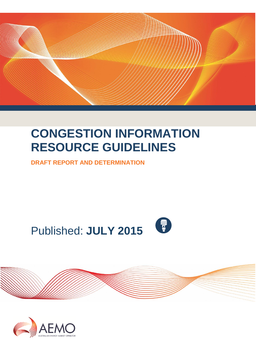

# **CONGESTION INFORMATION RESOURCE GUIDELINES**

**DRAFT REPORT AND DETERMINATION**







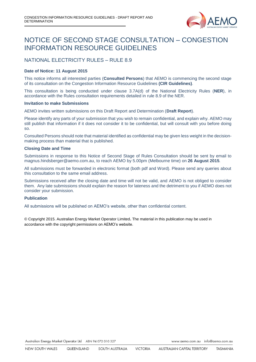

### NOTICE OF SECOND STAGE CONSULTATION – CONGESTION INFORMATION RESOURCE GUIDELINES

#### NATIONAL ELECTRICITY RULES – RULE 8.9

#### **Date of Notice: 11 August 2015**

This notice informs all interested parties (**Consulted Persons**) that AEMO is commencing the second stage of its consultation on the Congestion Information Resource Guidelines **(CIR Guidelines)**.

This consultation is being conducted under clause 3.7A(d) of the National Electricity Rules (**NER**), in accordance with the Rules consultation requirements detailed in rule 8.9 of the NER.

#### **Invitation to make Submissions**

AEMO invites written submissions on this Draft Report and Determination (**Draft Report**).

Please identify any parts of your submission that you wish to remain confidential, and explain why. AEMO may still publish that information if it does not consider it to be confidential, but will consult with you before doing so.

Consulted Persons should note that material identified as confidential may be given less weight in the decisionmaking process than material that is published.

#### **Closing Date and Time**

Submissions in response to this Notice of Second Stage of Rules Consultation should be sent by email to magnus.hindsberger@aemo.com.au, to reach AEMO by 5.00pm (Melbourne time) on **26 August 2015***.*

All submissions must be forwarded in electronic format (both pdf and Word). Please send any queries about this consultation to the same email address.

Submissions received after the closing date and time will not be valid, and AEMO is not obliged to consider them. Any late submissions should explain the reason for lateness and the detriment to you if AEMO does not consider your submission.

#### **Publication**

All submissions will be published on AEMO's website, other than confidential content.

© Copyright 2015. Australian Energy Market Operator Limited**.** The material in this publication may be used in accordance with the [copyright permissions](http://www.aemo.com.au/en/About-AEMO/Copyright-Permissions) on AEMO's website.

Australian Energy Market Operator Ltd ABN 94 072 010 327

www.aemo.com.au info@aemo.com.au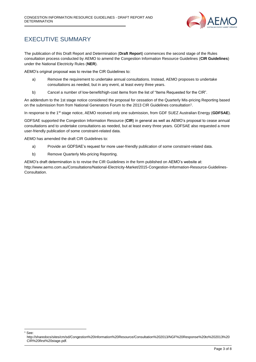

### <span id="page-2-0"></span>EXECUTIVE SUMMARY

The publication of this Draft Report and Determination (**Draft Report**) commences the second stage of the Rules consultation process conducted by AEMO to amend the Congestion Information Resource Guidelines (**CIR Guidelines**) under the National Electricity Rules (**NER**).

AEMO's original proposal was to revise the CIR Guidelines to:

- a) Remove the requirement to undertake annual consultations. Instead, AEMO proposes to undertake consultations as needed, but in any event, at least every three years.
- b) Cancel a number of low-benefit/high-cost items from the list of "Items Requested for the CIR".

An addendum to the 1st stage notice considered the proposal for cessation of the Quarterly Mis-pricing Reporting based on the submission from from National Generators Forum to the 2013 CIR Guidelines consultation<sup>1</sup>.

In response to the 1st stage notice, AEMO received only one submission, from GDF SUEZ Australian Energy (**GDFSAE**).

GDFSAE supported the Congestion Information Resource (**CIR**) in general as well as AEMO's proposal to cease annual consultations and to undertake consultations as needed, but at least every three years. GDFSAE also requested a more user-friendly publication of some constraint-related data.

AEMO has amended the draft CIR Guidelines to:

-See:

- a) Provide an GDFSAE's request for more user-friendly publication of some constraint-related data.
- b) Remove Quarterly Mis-pricing Reporting.

AEMO's draft determination is to revise the CIR Guidelines in the form published on AEMO's website at: http://www.aemo.com.au/Consultations/National-Electricity-Market/2015-Congestion-Information-Resource-Guidelines-Consultation.

http://sharedocs/sites/cm/sd/Congestion%20Information%20Resource/Consultation%202013/NGF%20Response%20to%202013%20 CIR%20first%20stage.pdf.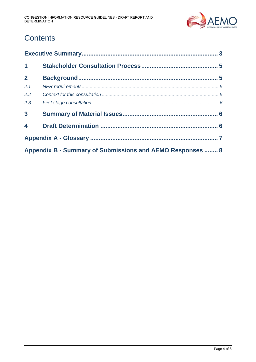

# **Contents**

| $\mathbf 1$                                               |  |  |  |  |
|-----------------------------------------------------------|--|--|--|--|
| 2 <sup>1</sup>                                            |  |  |  |  |
| 2.1                                                       |  |  |  |  |
| 2.2                                                       |  |  |  |  |
| 2.3                                                       |  |  |  |  |
| $\overline{\mathbf{3}}$                                   |  |  |  |  |
| $\overline{\mathbf{4}}$                                   |  |  |  |  |
|                                                           |  |  |  |  |
| Appendix B - Summary of Submissions and AEMO Responses  8 |  |  |  |  |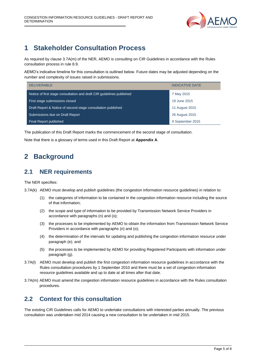

## <span id="page-4-0"></span>**1 Stakeholder Consultation Process**

As required by clause 3.7A(m) of the NER, AEMO is consulting on CIR Guidelines in accordance with the Rules consultation process in rule 8.9.

AEMO's indicative timeline for this consultation is outlined below. Future dates may be adjusted depending on the number and complexity of issues raised in submissions.

| <b>DELIVERABLE</b>                                                    | <b>INDICATIVE DATE</b> |
|-----------------------------------------------------------------------|------------------------|
| Notice of first stage consultation and draft CIR guidelines published | 7 May 2015             |
| First stage submissions closed                                        | 19 June 2015           |
| Draft Report & Notice of second stage consultation published          | 11 August 2015         |
| Submissions due on Draft Report                                       | 26 August 2015         |
| Final Report published                                                | 9 September 2015       |

The publication of this Draft Report marks the commencement of the second stage of consultation.

<span id="page-4-1"></span>Note that there is a glossary of terms used in this Draft Report at **Appendix A**.

### **2 Background**

#### <span id="page-4-2"></span>**2.1 NER requirements**

The NER specifies:

3.7A(k) AEMO must develop and publish guidelines (the congestion information resource guidelines) in relation to:

- (1) the categories of information to be contained in the congestion information resource including the source of that information;
- (2) the scope and type of information to be provided by Transmission Network Service Providers in accordance with paragraphs (n) and (o);
- (3) the processes to be implemented by AEMO to obtain the information from Transmission Network Service Providers in accordance with paragraphs (n) and (o);
- (4) the determination of the intervals for updating and publishing the congestion information resource under paragraph (e); and
- (5) the processes to be implemented by AEMO for providing Registered Participants with information under paragraph (g).
- 3.7A(l) AEMO must develop and publish the first congestion information resource guidelines in accordance with the Rules consultation procedures by 1 September 2010 and there must be a set of congestion information resource guidelines available and up to date at all times after that date.
- 3.7A(m) AEMO must amend the congestion information resource guidelines in accordance with the Rules consultation procedures.

#### <span id="page-4-3"></span>**2.2 Context for this consultation**

The existing CIR Guidelines calls for AEMO to undertake consultations with interested parties annually. The previous consultation was undertaken mid 2014 causing a new consultation to be undertaken in mid 2015.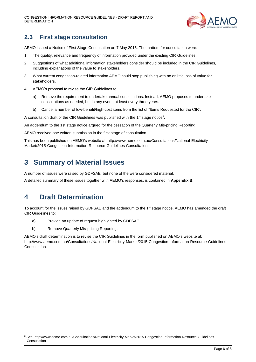

#### <span id="page-5-0"></span>**2.3 First stage consultation**

AEMO issued a Notice of First Stage Consultation on 7 May 2015. The matters for consultation were:

- 1. The quality, relevance and frequency of information provided under the existing CIR Guidelines.
- 2. Suggestions of what additional information stakeholders consider should be included in the CIR Guidelines, including explanations of the value to stakeholders.
- 3. What current congestion-related information AEMO could stop publishing with no or little loss of value for stakeholders.
- 4. AEMO's proposal to revise the CIR Guidelines to:
	- a) Remove the requirement to undertake annual consultations. Instead, AEMO proposes to undertake consultations as needed, but in any event, at least every three years.
	- b) Cancel a number of low-benefit/high-cost items from the list of "Items Requested for the CIR".

A consultation draft of the CIR Guidelines was published with the 1<sup>st</sup> stage notice<sup>2</sup>.

An addendum to the 1st stage notice argued for the cessation of the Quarterly Mis-pricing Reporting.

AEMO received one written submission in the first stage of consultation.

This has been published on AEMO's website at: http://www.aemo.com.au/Consultations/National-Electricity-Market/2015-Congestion-Information-Resource-Guidelines-Consultation.

#### <span id="page-5-1"></span>**3 Summary of Material Issues**

A number of issues were raised by GDFSAE, but none of the were considered material.

<span id="page-5-2"></span>A detailed summary of these issues together with AEMO's responses, is contained in **Appendix B**.

### **4 Draft Determination**

1

To account for the issues raised by GDFSAE and the addendum to the 1<sup>st</sup> stage notice, AEMO has amended the draft CIR Guidelines to:

- a) Provide an update of request highlighted by GDFSAE
- b) Remove Quarterly Mis-pricing Reporting.

AEMO's draft determination is to revise the CIR Guidelines in the form published on AEMO's website at: http://www.aemo.com.au/Consultations/National-Electricity-Market/2015-Congestion-Information-Resource-Guidelines-Consultation.

<sup>2</sup> See[: http://www.aemo.com.au/Consultations/National-Electricity-Market/2015-Congestion-Information-Resource-Guidelines-](http://www.aemo.com.au/Consultations/National-Electricity-Market/2015-Congestion-Information-Resource-Guidelines-Consultation)**[Consultation](http://www.aemo.com.au/Consultations/National-Electricity-Market/2015-Congestion-Information-Resource-Guidelines-Consultation)**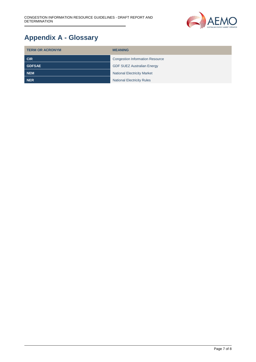

# <span id="page-6-0"></span>**Appendix A - Glossary**

| <b>TERM OR ACRONYM</b> | <b>MEANING</b>                         |
|------------------------|----------------------------------------|
| <b>CIR</b>             | <b>Congestion Information Resource</b> |
| <b>GDFSAE</b>          | <b>GDF SUEZ Australian Energy</b>      |
| <b>NEM</b>             | <b>National Electricity Market</b>     |
| <b>NER</b>             | <b>National Electricity Rules</b>      |